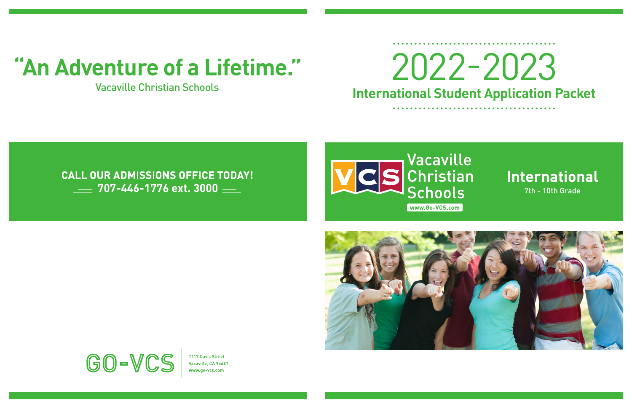





1117 Davis Street Vacaville, CA 95687 ww.go-ycs.com

# **International Student Application Packet**

# **"An Adventure of a Lifetime."** 2022-2023

## Vacaville Christian Schools

# **CALL OUR ADMISSIONS OFFICE TODAY!**  $\equiv$  707-446-1776 ext. 3000  $\equiv$